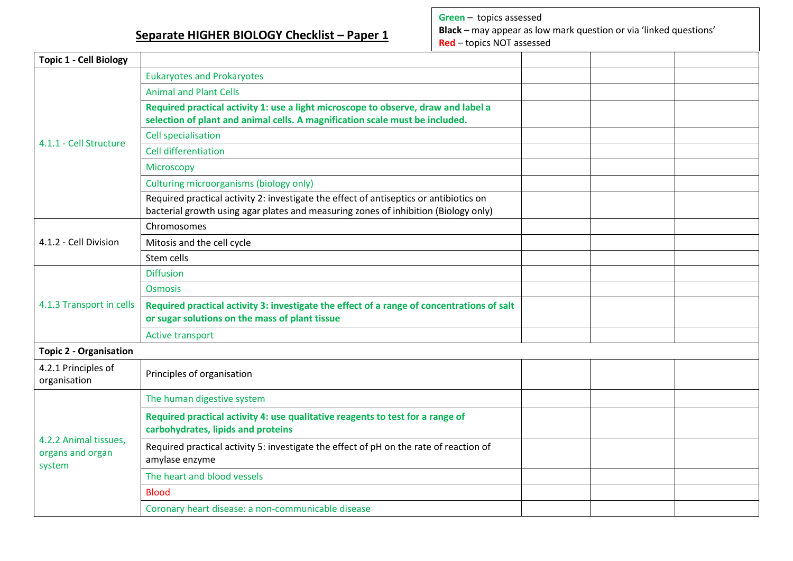**Separate HIGHER BIOLOGY Checklist – Paper 1**

**Green** – topics assessed **Black** – may appear as low mark question or via 'linked questions' **Red** – topics NOT assessed

| <b>Topic 1 - Cell Biology</b>                       |                                                                                                                                                                               |  |  |
|-----------------------------------------------------|-------------------------------------------------------------------------------------------------------------------------------------------------------------------------------|--|--|
| 4.1.1 - Cell Structure                              | <b>Eukaryotes and Prokaryotes</b>                                                                                                                                             |  |  |
|                                                     | <b>Animal and Plant Cells</b>                                                                                                                                                 |  |  |
|                                                     | Required practical activity 1: use a light microscope to observe, draw and label a<br>selection of plant and animal cells. A magnification scale must be included.            |  |  |
|                                                     | <b>Cell specialisation</b>                                                                                                                                                    |  |  |
|                                                     | <b>Cell differentiation</b>                                                                                                                                                   |  |  |
|                                                     | Microscopy                                                                                                                                                                    |  |  |
|                                                     | Culturing microorganisms (biology only)                                                                                                                                       |  |  |
|                                                     | Required practical activity 2: investigate the effect of antiseptics or antibiotics on<br>bacterial growth using agar plates and measuring zones of inhibition (Biology only) |  |  |
|                                                     | Chromosomes                                                                                                                                                                   |  |  |
| 4.1.2 - Cell Division                               | Mitosis and the cell cycle                                                                                                                                                    |  |  |
|                                                     | Stem cells                                                                                                                                                                    |  |  |
|                                                     | <b>Diffusion</b>                                                                                                                                                              |  |  |
|                                                     | <b>Osmosis</b>                                                                                                                                                                |  |  |
| 4.1.3 Transport in cells                            | Required practical activity 3: investigate the effect of a range of concentrations of salt<br>or sugar solutions on the mass of plant tissue                                  |  |  |
|                                                     | <b>Active transport</b>                                                                                                                                                       |  |  |
| <b>Topic 2 - Organisation</b>                       |                                                                                                                                                                               |  |  |
| 4.2.1 Principles of<br>organisation                 | Principles of organisation                                                                                                                                                    |  |  |
| 4.2.2 Animal tissues,<br>organs and organ<br>system | The human digestive system                                                                                                                                                    |  |  |
|                                                     | Required practical activity 4: use qualitative reagents to test for a range of<br>carbohydrates, lipids and proteins                                                          |  |  |
|                                                     | Required practical activity 5: investigate the effect of pH on the rate of reaction of<br>amylase enzyme                                                                      |  |  |
|                                                     | The heart and blood vessels                                                                                                                                                   |  |  |
|                                                     | <b>Blood</b>                                                                                                                                                                  |  |  |
|                                                     | Coronary heart disease: a non-communicable disease                                                                                                                            |  |  |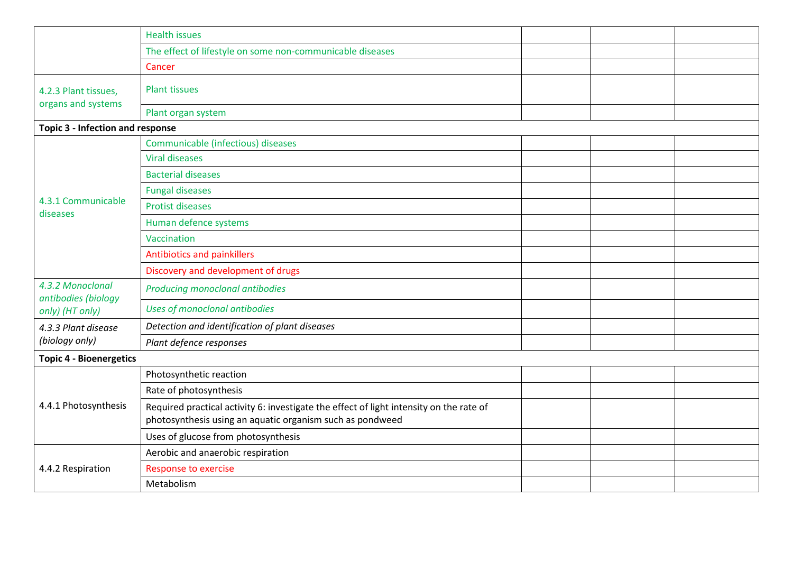|                                            | <b>Health issues</b>                                                                                                                                 |  |  |  |
|--------------------------------------------|------------------------------------------------------------------------------------------------------------------------------------------------------|--|--|--|
|                                            | The effect of lifestyle on some non-communicable diseases                                                                                            |  |  |  |
|                                            | Cancer                                                                                                                                               |  |  |  |
| 4.2.3 Plant tissues,<br>organs and systems | <b>Plant tissues</b>                                                                                                                                 |  |  |  |
|                                            | Plant organ system                                                                                                                                   |  |  |  |
| Topic 3 - Infection and response           |                                                                                                                                                      |  |  |  |
|                                            | Communicable (infectious) diseases                                                                                                                   |  |  |  |
|                                            | <b>Viral diseases</b>                                                                                                                                |  |  |  |
|                                            | <b>Bacterial diseases</b>                                                                                                                            |  |  |  |
|                                            | <b>Fungal diseases</b>                                                                                                                               |  |  |  |
| 4.3.1 Communicable                         | <b>Protist diseases</b>                                                                                                                              |  |  |  |
| diseases                                   | Human defence systems                                                                                                                                |  |  |  |
|                                            | Vaccination                                                                                                                                          |  |  |  |
|                                            | Antibiotics and painkillers                                                                                                                          |  |  |  |
|                                            | Discovery and development of drugs                                                                                                                   |  |  |  |
| 4.3.2 Monoclonal<br>antibodies (biology    | Producing monoclonal antibodies                                                                                                                      |  |  |  |
| only) (HT only)                            | Uses of monoclonal antibodies                                                                                                                        |  |  |  |
| 4.3.3 Plant disease                        | Detection and identification of plant diseases                                                                                                       |  |  |  |
| (biology only)                             | Plant defence responses                                                                                                                              |  |  |  |
| <b>Topic 4 - Bioenergetics</b>             |                                                                                                                                                      |  |  |  |
|                                            | Photosynthetic reaction                                                                                                                              |  |  |  |
| 4.4.1 Photosynthesis                       | Rate of photosynthesis                                                                                                                               |  |  |  |
|                                            | Required practical activity 6: investigate the effect of light intensity on the rate of<br>photosynthesis using an aquatic organism such as pondweed |  |  |  |
|                                            | Uses of glucose from photosynthesis                                                                                                                  |  |  |  |
| 4.4.2 Respiration                          | Aerobic and anaerobic respiration                                                                                                                    |  |  |  |
|                                            | <b>Response to exercise</b>                                                                                                                          |  |  |  |
|                                            | Metabolism                                                                                                                                           |  |  |  |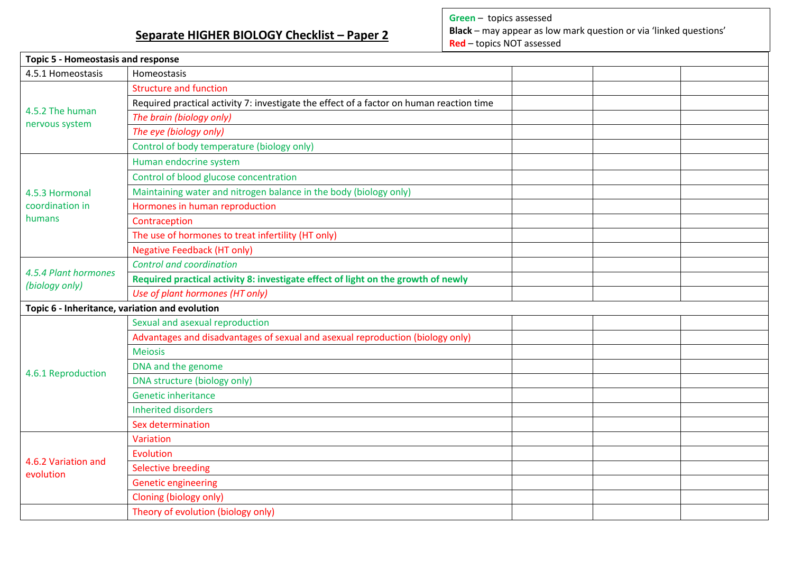## **Separate HIGHER BIOLOGY Checklist – Paper 2**

**Green** – topics assessed **Black** – may appear as low mark question or via 'linked questions' **Red** – topics NOT assessed

| <b>Topic 5 - Homeostasis and response</b>      |                                                                                          |  |  |  |
|------------------------------------------------|------------------------------------------------------------------------------------------|--|--|--|
| 4.5.1 Homeostasis                              | Homeostasis                                                                              |  |  |  |
| 4.5.2 The human                                | <b>Structure and function</b>                                                            |  |  |  |
|                                                | Required practical activity 7: investigate the effect of a factor on human reaction time |  |  |  |
| nervous system                                 | The brain (biology only)                                                                 |  |  |  |
|                                                | The eye (biology only)                                                                   |  |  |  |
|                                                | Control of body temperature (biology only)                                               |  |  |  |
|                                                | Human endocrine system                                                                   |  |  |  |
|                                                | Control of blood glucose concentration                                                   |  |  |  |
| 4.5.3 Hormonal                                 | Maintaining water and nitrogen balance in the body (biology only)                        |  |  |  |
| coordination in                                | Hormones in human reproduction                                                           |  |  |  |
| humans                                         | Contraception                                                                            |  |  |  |
|                                                | The use of hormones to treat infertility (HT only)                                       |  |  |  |
|                                                | <b>Negative Feedback (HT only)</b>                                                       |  |  |  |
| 4.5.4 Plant hormones                           | <b>Control and coordination</b>                                                          |  |  |  |
| (biology only)                                 | Required practical activity 8: investigate effect of light on the growth of newly        |  |  |  |
|                                                | Use of plant hormones (HT only)                                                          |  |  |  |
| Topic 6 - Inheritance, variation and evolution |                                                                                          |  |  |  |
|                                                | Sexual and asexual reproduction                                                          |  |  |  |
|                                                | Advantages and disadvantages of sexual and asexual reproduction (biology only)           |  |  |  |
|                                                | <b>Meiosis</b>                                                                           |  |  |  |
| 4.6.1 Reproduction                             | DNA and the genome                                                                       |  |  |  |
|                                                | DNA structure (biology only)                                                             |  |  |  |
|                                                | <b>Genetic inheritance</b>                                                               |  |  |  |
|                                                | <b>Inherited disorders</b>                                                               |  |  |  |
|                                                | Sex determination                                                                        |  |  |  |
|                                                | Variation                                                                                |  |  |  |
| 4.6.2 Variation and<br>evolution               | Evolution                                                                                |  |  |  |
|                                                | <b>Selective breeding</b>                                                                |  |  |  |
|                                                | <b>Genetic engineering</b>                                                               |  |  |  |
|                                                | Cloning (biology only)                                                                   |  |  |  |
|                                                | Theory of evolution (biology only)                                                       |  |  |  |